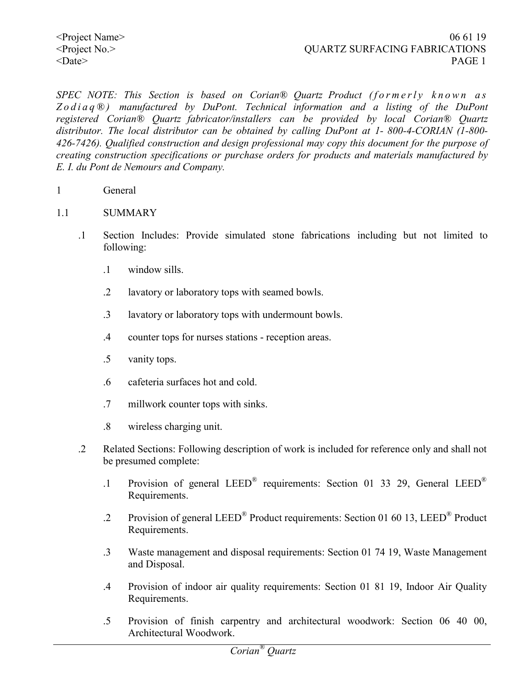<Project Name> <Project No.> <Date>

*SPEC NOTE: This Section is based on Corian® Quartz Product (formerly known as Zodiaq®) manufactured by DuPont. Technical information and a listing of the DuPont registered Corian® Quartz fabricator/installers can be provided by local Corian® Quartz distributor. The local distributor can be obtained by calling DuPont at 1- 800-4-CORIAN (1-800- 426-7426). Qualified construction and design professional may copy this document for the purpose of creating construction specifications or purchase orders for products and materials manufactured by E. I. du Pont de Nemours and Company.*

1 General

#### 1.1 SUMMARY

- .1 Section Includes: Provide simulated stone fabrications including but not limited to following:
	- .1 window sills.
	- .2 lavatory or laboratory tops with seamed bowls.
	- .3 lavatory or laboratory tops with undermount bowls.
	- .4 counter tops for nurses stations reception areas.
	- .5 vanity tops.
	- .6 cafeteria surfaces hot and cold.
	- .7 millwork counter tops with sinks.
	- .8 wireless charging unit.
- .2 Related Sections: Following description of work is included for reference only and shall not be presumed complete:
	- .1 Provision of general LEED® requirements: Section 01 33 29, General LEED® Requirements.
	- .2 Provision of general LEED® Product requirements: Section 01 60 13, LEED® Product Requirements.
	- .3 Waste management and disposal requirements: Section 01 74 19, Waste Management and Disposal.
	- .4 Provision of indoor air quality requirements: Section 01 81 19, Indoor Air Quality Requirements.
	- .5 Provision of finish carpentry and architectural woodwork: Section 06 40 00, Architectural Woodwork.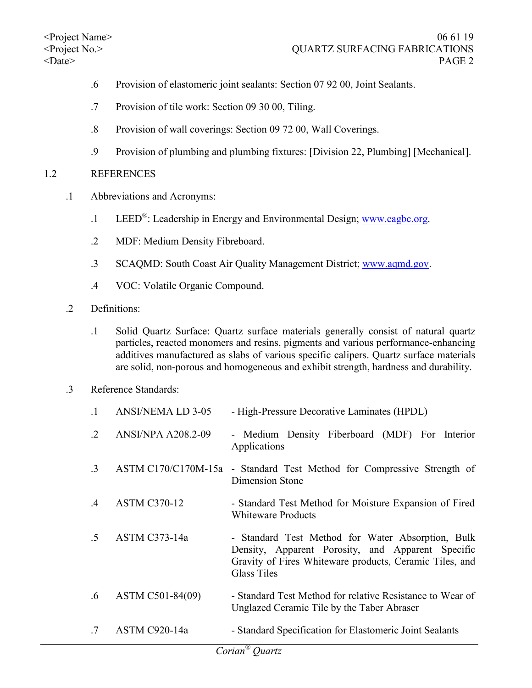- .6 Provision of elastomeric joint sealants: Section 07 92 00, Joint Sealants.
- .7 Provision of tile work: Section 09 30 00, Tiling.
- .8 Provision of wall coverings: Section 09 72 00, Wall Coverings.
- .9 Provision of plumbing and plumbing fixtures: [Division 22, Plumbing] [Mechanical].

# 1.2 REFERENCES

- .1 Abbreviations and Acronyms:
	- .1 LEED<sup>®</sup>: Leadership in Energy and Environmental Design; www.cagbc.org.
	- .2 MDF: Medium Density Fibreboard.
	- .3 SCAQMD: South Coast Air Quality Management District; www.aqmd.gov.
	- .4 VOC: Volatile Organic Compound.
- .2 Definitions:
	- .1 Solid Quartz Surface: Quartz surface materials generally consist of natural quartz particles, reacted monomers and resins, pigments and various performance-enhancing additives manufactured as slabs of various specific calipers. Quartz surface materials are solid, non-porous and homogeneous and exhibit strength, hardness and durability.

# .3 Reference Standards:

| $\cdot$ 1      | <b>ANSI/NEMA LD 3-05</b>   | - High-Pressure Decorative Laminates (HPDL)                                                                                                                                             |  |
|----------------|----------------------------|-----------------------------------------------------------------------------------------------------------------------------------------------------------------------------------------|--|
| $\cdot$ 2      | <b>ANSI/NPA A208.2-09</b>  | - Medium Density Fiberboard (MDF) For Interior<br>Applications                                                                                                                          |  |
| $\cdot$ 3      | <b>ASTM C170/C170M-15a</b> | - Standard Test Method for Compressive Strength of<br>Dimension Stone                                                                                                                   |  |
| $\overline{4}$ | <b>ASTM C370-12</b>        | - Standard Test Method for Moisture Expansion of Fired<br><b>Whiteware Products</b>                                                                                                     |  |
| .5             | <b>ASTM C373-14a</b>       | - Standard Test Method for Water Absorption, Bulk<br>Density, Apparent Porosity, and Apparent Specific<br>Gravity of Fires Whiteware products, Ceramic Tiles, and<br><b>Glass Tiles</b> |  |
| $.6\,$         | ASTM C501-84(09)           | - Standard Test Method for relative Resistance to Wear of<br>Unglazed Ceramic Tile by the Taber Abraser                                                                                 |  |
| 7              | ASTM C920-14a              | - Standard Specification for Elastomeric Joint Sealants                                                                                                                                 |  |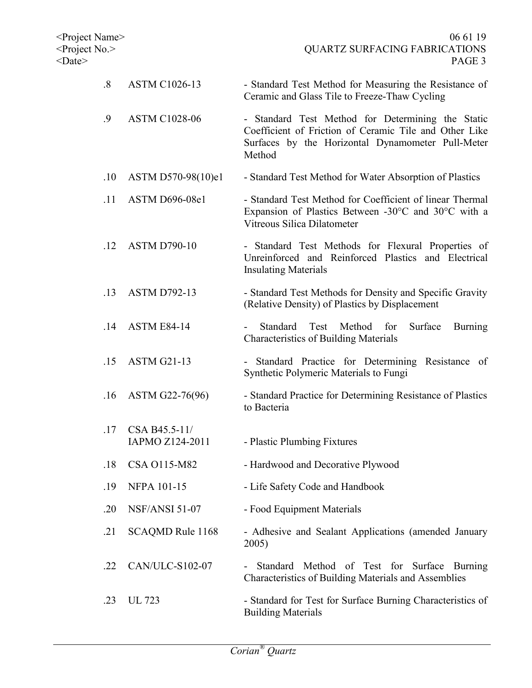| $\boldsymbol{.8}$ | <b>ASTM C1026-13</b>             | - Standard Test Method for Measuring the Resistance of<br>Ceramic and Glass Tile to Freeze-Thaw Cycling                                                                    |
|-------------------|----------------------------------|----------------------------------------------------------------------------------------------------------------------------------------------------------------------------|
| .9                | <b>ASTM C1028-06</b>             | - Standard Test Method for Determining the Static<br>Coefficient of Friction of Ceramic Tile and Other Like<br>Surfaces by the Horizontal Dynamometer Pull-Meter<br>Method |
| .10               | ASTM D570-98(10)e1               | - Standard Test Method for Water Absorption of Plastics                                                                                                                    |
| .11               | <b>ASTM D696-08e1</b>            | - Standard Test Method for Coefficient of linear Thermal<br>Expansion of Plastics Between -30°C and 30°C with a<br>Vitreous Silica Dilatometer                             |
| .12               | <b>ASTM D790-10</b>              | - Standard Test Methods for Flexural Properties of<br>Unreinforced and Reinforced Plastics and Electrical<br><b>Insulating Materials</b>                                   |
| .13               | <b>ASTM D792-13</b>              | - Standard Test Methods for Density and Specific Gravity<br>(Relative Density) of Plastics by Displacement                                                                 |
| .14               | <b>ASTM E84-14</b>               | Standard<br>Burning<br>Test<br>Method<br>for<br>Surface<br><b>Characteristics of Building Materials</b>                                                                    |
| .15               | <b>ASTM G21-13</b>               | Standard Practice for Determining Resistance of<br>Synthetic Polymeric Materials to Fungi                                                                                  |
| .16               | ASTM G22-76(96)                  | - Standard Practice for Determining Resistance of Plastics<br>to Bacteria                                                                                                  |
| .17               | CSA B45.5-11/<br>IAPMO Z124-2011 | - Plastic Plumbing Fixtures                                                                                                                                                |
|                   | .18 CSA 0115-M82                 | - Hardwood and Decorative Plywood                                                                                                                                          |
| .19               | <b>NFPA 101-15</b>               | - Life Safety Code and Handbook                                                                                                                                            |
| .20               | <b>NSF/ANSI 51-07</b>            | - Food Equipment Materials                                                                                                                                                 |
| .21               | SCAQMD Rule 1168                 | - Adhesive and Sealant Applications (amended January<br>2005)                                                                                                              |
| .22               | CAN/ULC-S102-07                  | Standard Method of Test for Surface Burning<br>Characteristics of Building Materials and Assemblies                                                                        |
| .23               | <b>UL</b> 723                    | - Standard for Test for Surface Burning Characteristics of<br><b>Building Materials</b>                                                                                    |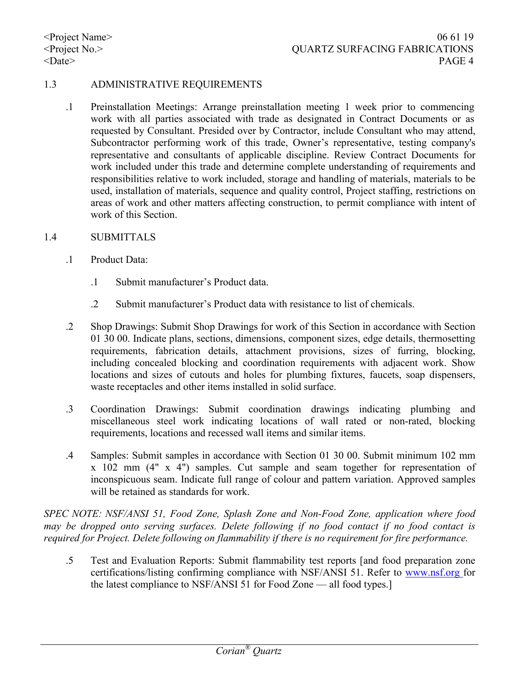#### 1.3 ADMINISTRATIVE REQUIREMENTS

.1 Preinstallation Meetings: Arrange preinstallation meeting 1 week prior to commencing work with all parties associated with trade as designated in Contract Documents or as requested by Consultant. Presided over by Contractor, include Consultant who may attend, Subcontractor performing work of this trade, Owner's representative, testing company's representative and consultants of applicable discipline. Review Contract Documents for work included under this trade and determine complete understanding of requirements and responsibilities relative to work included, storage and handling of materials, materials to be used, installation of materials, sequence and quality control, Project staffing, restrictions on areas of work and other matters affecting construction, to permit compliance with intent of work of this Section.

#### 1.4 SUBMITTALS

- .1 Product Data:
	- .1 Submit manufacturer's Product data.
	- .2 Submit manufacturer's Product data with resistance to list of chemicals.
- .2 Shop Drawings: Submit Shop Drawings for work of this Section in accordance with Section 01 30 00. Indicate plans, sections, dimensions, component sizes, edge details, thermosetting requirements, fabrication details, attachment provisions, sizes of furring, blocking, including concealed blocking and coordination requirements with adjacent work. Show locations and sizes of cutouts and holes for plumbing fixtures, faucets, soap dispensers, waste receptacles and other items installed in solid surface.
- .3 Coordination Drawings: Submit coordination drawings indicating plumbing and miscellaneous steel work indicating locations of wall rated or non-rated, blocking requirements, locations and recessed wall items and similar items.
- .4 Samples: Submit samples in accordance with Section 01 30 00. Submit minimum 102 mm x 102 mm (4" x 4") samples. Cut sample and seam together for representation of inconspicuous seam. Indicate full range of colour and pattern variation. Approved samples will be retained as standards for work.

*SPEC NOTE: NSF/ANSI 51, Food Zone, Splash Zone and Non-Food Zone, application where food may be dropped onto serving surfaces. Delete following if no food contact if no food contact is required for Project. Delete following on flammability if there is no requirement for fire performance.*

.5 Test and Evaluation Reports: Submit flammability test reports [and food preparation zone certifications/listing confirming compliance with NSF/ANSI 51. Refer to www.nsf.org for the latest compliance to NSF/ANSI 51 for Food Zone — all food types.]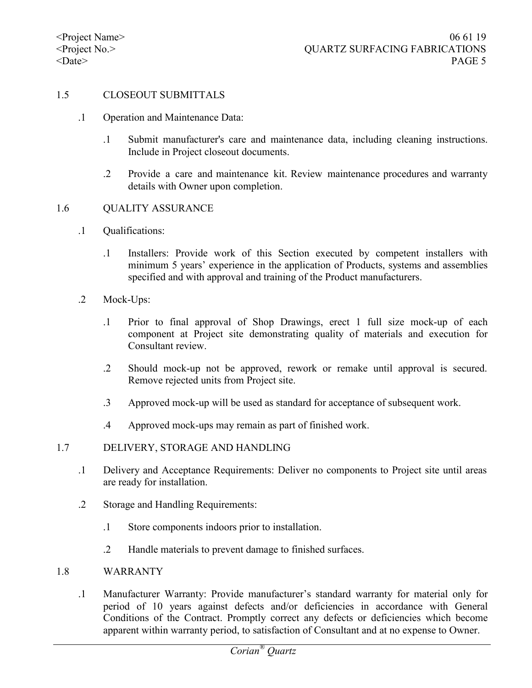### 1.5 CLOSEOUT SUBMITTALS

- .1 Operation and Maintenance Data:
	- .1 Submit manufacturer's care and maintenance data, including cleaning instructions. Include in Project closeout documents.
	- .2 Provide a care and maintenance kit. Review maintenance procedures and warranty details with Owner upon completion.

### 1.6 QUALITY ASSURANCE

- .1 Qualifications:
	- .1 Installers: Provide work of this Section executed by competent installers with minimum 5 years' experience in the application of Products, systems and assemblies specified and with approval and training of the Product manufacturers.
- .2 Mock-Ups:
	- .1 Prior to final approval of Shop Drawings, erect 1 full size mock-up of each component at Project site demonstrating quality of materials and execution for Consultant review.
	- .2 Should mock-up not be approved, rework or remake until approval is secured. Remove rejected units from Project site.
	- .3 Approved mock-up will be used as standard for acceptance of subsequent work.
	- .4 Approved mock-ups may remain as part of finished work.

#### 1.7 DELIVERY, STORAGE AND HANDLING

- .1 Delivery and Acceptance Requirements: Deliver no components to Project site until areas are ready for installation.
- .2 Storage and Handling Requirements:
	- .1 Store components indoors prior to installation.
	- .2 Handle materials to prevent damage to finished surfaces.

#### 1.8 WARRANTY

.1 Manufacturer Warranty: Provide manufacturer's standard warranty for material only for period of 10 years against defects and/or deficiencies in accordance with General Conditions of the Contract. Promptly correct any defects or deficiencies which become apparent within warranty period, to satisfaction of Consultant and at no expense to Owner.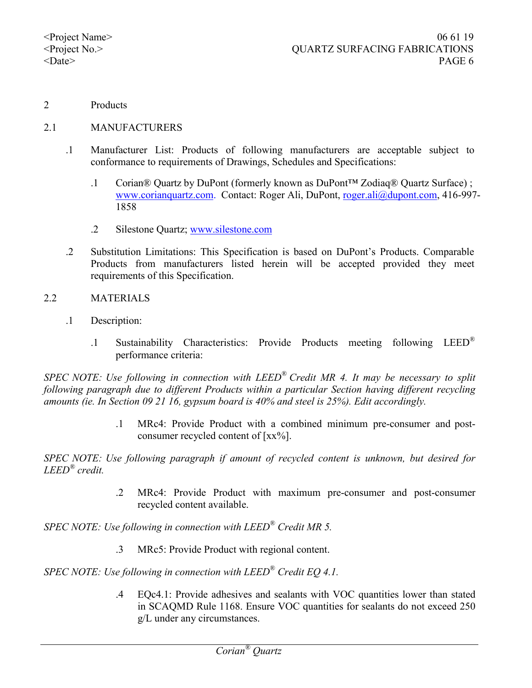2 Products

### 2.1 MANUFACTURERS

- .1 Manufacturer List: Products of following manufacturers are acceptable subject to conformance to requirements of Drawings, Schedules and Specifications:
	- .1 Corian® Quartz by DuPont (formerly known as DuPont™ Zodiaq® Quartz Surface) ; www.corianquartz.com. Contact: Roger Ali, DuPont, roger.ali@dupont.com, 416-997- 1858
	- .2 Silestone Quartz; www.silestone.com
- .2 Substitution Limitations: This Specification is based on DuPont's Products. Comparable Products from manufacturers listed herein will be accepted provided they meet requirements of this Specification.
- 2.2 **MATERIALS** 
	- .1 Description:
		- .1 Sustainability Characteristics: Provide Products meeting following LEED® performance criteria:

*SPEC NOTE: Use following in connection with LEED® Credit MR 4. It may be necessary to split following paragraph due to different Products within a particular Section having different recycling amounts (ie. In Section 09 21 16, gypsum board is 40% and steel is 25%). Edit accordingly.*

> .1 MRc4: Provide Product with a combined minimum pre-consumer and postconsumer recycled content of  $[xx\%]$ .

*SPEC NOTE: Use following paragraph if amount of recycled content is unknown, but desired for LEED® credit.*

> .2 MRc4: Provide Product with maximum pre-consumer and post-consumer recycled content available.

*SPEC NOTE: Use following in connection with LEED® Credit MR 5.*

.3 MRc5: Provide Product with regional content.

*SPEC NOTE: Use following in connection with LEED® Credit EQ 4.1.*

.4 EQc4.1: Provide adhesives and sealants with VOC quantities lower than stated in SCAQMD Rule 1168. Ensure VOC quantities for sealants do not exceed 250 g/L under any circumstances.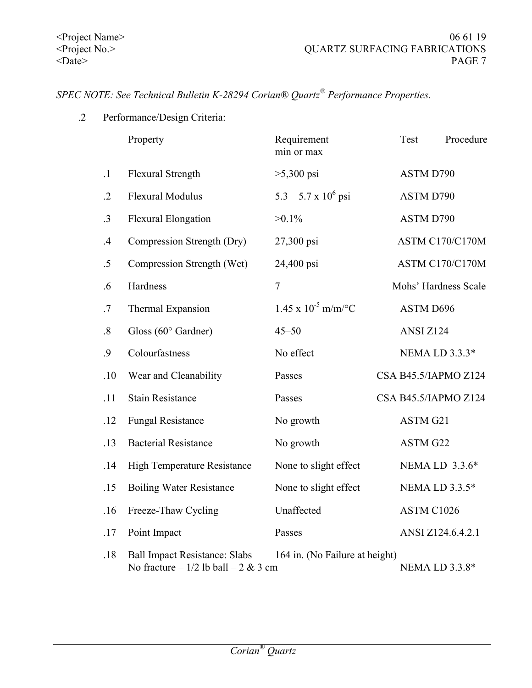# *SPEC NOTE: See Technical Bulletin K-28294 Corian® Quartz® Performance Properties.*

.2 Performance/Design Criteria:

|           | Property                                                                       | Requirement<br>min or max      | Procedure<br>Test     |
|-----------|--------------------------------------------------------------------------------|--------------------------------|-----------------------|
| $\cdot$ 1 | Flexural Strength                                                              | $>5,300$ psi                   | ASTM D790             |
| $\cdot$   | <b>Flexural Modulus</b>                                                        | $5.3 - 5.7 \times 10^6$ psi    | ASTM D790             |
| $\cdot$ 3 | <b>Flexural Elongation</b>                                                     | $>0.1\%$                       | ASTM D790             |
| .4        | Compression Strength (Dry)                                                     | 27,300 psi                     | ASTM C170/C170M       |
| $.5\,$    | Compression Strength (Wet)                                                     | 24,400 psi                     | ASTM C170/C170M       |
| .6        | Hardness                                                                       | $\tau$                         | Mohs' Hardness Scale  |
| .7        | Thermal Expansion                                                              | $1.45 \times 10^{-5}$ m/m/°C   | ASTM D696             |
| .8        | Gloss ( $60^\circ$ Gardner)                                                    | $45 - 50$                      | ANSI Z124             |
| .9        | Colourfastness                                                                 | No effect                      | NEMA LD 3.3.3*        |
| .10       | Wear and Cleanability                                                          | Passes                         | CSA B45.5/IAPMO Z124  |
| .11       | <b>Stain Resistance</b>                                                        | Passes                         | CSA B45.5/IAPMO Z124  |
| .12       | <b>Fungal Resistance</b>                                                       | No growth                      | ASTM G21              |
| .13       | <b>Bacterial Resistance</b>                                                    | No growth                      | ASTM G22              |
| .14       | <b>High Temperature Resistance</b>                                             | None to slight effect          | NEMA LD 3.3.6*        |
| .15       | <b>Boiling Water Resistance</b>                                                | None to slight effect          | NEMA LD 3.3.5*        |
| .16       | Freeze-Thaw Cycling                                                            | Unaffected                     | ASTM C1026            |
| .17       | Point Impact                                                                   | Passes                         | ANSI Z124.6.4.2.1     |
| .18       | <b>Ball Impact Resistance: Slabs</b><br>No fracture $-1/2$ lb ball $-2 & 3$ cm | 164 in. (No Failure at height) | <b>NEMA LD 3.3.8*</b> |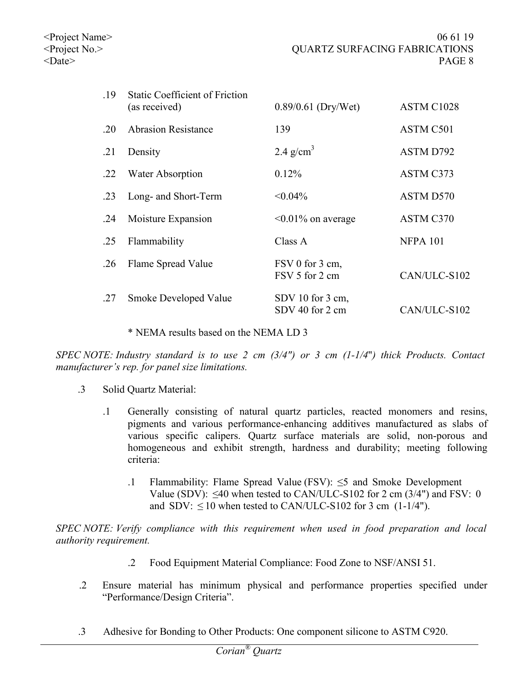| .19 | <b>Static Coefficient of Friction</b><br>(as received) | $0.89/0.61$ (Dry/Wet)               | ASTM C1028       |
|-----|--------------------------------------------------------|-------------------------------------|------------------|
| .20 | <b>Abrasion Resistance</b>                             | 139                                 | <b>ASTM C501</b> |
| .21 | Density                                                | 2.4 $g/cm3$                         | ASTM D792        |
| .22 | <b>Water Absorption</b>                                | 0.12%                               | ASTM C373        |
| .23 | Long- and Short-Term                                   | $< 0.04\%$                          | ASTM D570        |
| .24 | Moisture Expansion                                     | $\leq 0.01\%$ on average            | ASTM C370        |
| .25 | Flammability                                           | Class A                             | <b>NFPA 101</b>  |
| .26 | Flame Spread Value                                     | FSV 0 for 3 cm,<br>FSV 5 for 2 cm   | CAN/ULC-S102     |
| .27 | Smoke Developed Value                                  | SDV 10 for 3 cm,<br>SDV 40 for 2 cm | CAN/ULC-S102     |
|     |                                                        |                                     |                  |

\* NEMA results based on the NEMA LD 3

*SPEC NOTE: Industry standard is to use 2 cm (3/4") or 3 cm (1-1/4*"*) thick Products. Contact manufacturer's rep. for panel size limitations.*

- .3 Solid Quartz Material:
	- .1 Generally consisting of natural quartz particles, reacted monomers and resins, pigments and various performance-enhancing additives manufactured as slabs of various specific calipers. Quartz surface materials are solid, non-porous and homogeneous and exhibit strength, hardness and durability; meeting following criteria:
		- .1 Flammability: Flame Spread Value (FSV): ≤5 and Smoke Development Value (SDV):  $\leq 40$  when tested to CAN/ULC-S102 for 2 cm (3/4") and FSV: 0 and SDV:  $\leq 10$  when tested to CAN/ULC-S102 for 3 cm (1-1/4").

*SPEC NOTE: Verify compliance with this requirement when used in food preparation and local authority requirement.*

- .2 Food Equipment Material Compliance: Food Zone to NSF/ANSI 51.
- .2 Ensure material has minimum physical and performance properties specified under "Performance/Design Criteria".
- .3 Adhesive for Bonding to Other Products: One component silicone to ASTM C920.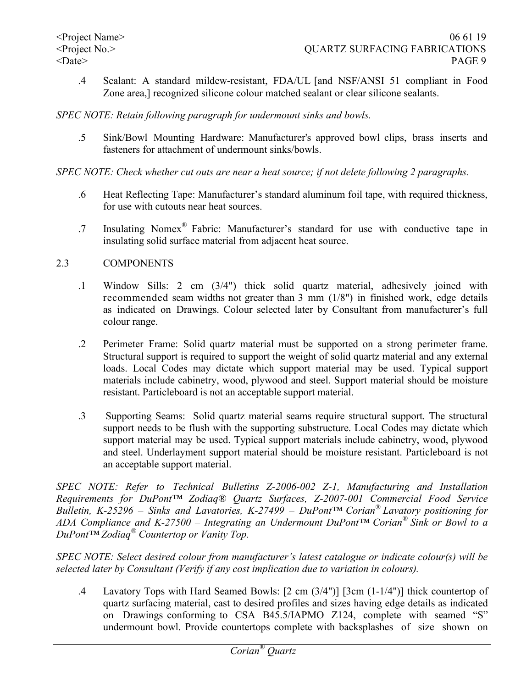.4 Sealant: A standard mildew-resistant, FDA/UL [and NSF/ANSI 51 compliant in Food Zone area,] recognized silicone colour matched sealant or clear silicone sealants.

# *SPEC NOTE: Retain following paragraph for undermount sinks and bowls.*

.5 Sink/Bowl Mounting Hardware: Manufacturer's approved bowl clips, brass inserts and fasteners for attachment of undermount sinks/bowls.

*SPEC NOTE: Check whether cut outs are near a heat source; if not delete following 2 paragraphs.*

- .6 Heat Reflecting Tape: Manufacturer's standard aluminum foil tape, with required thickness, for use with cutouts near heat sources.
- .7 Insulating Nomex ® Fabric: Manufacturer's standard for use with conductive tape in insulating solid surface material from adjacent heat source.

#### 2.3 COMPONENTS

- .1 Window Sills: 2 cm (3/4") thick solid quartz material, adhesively joined with recommended seam widths not greater than 3 mm (1/8") in finished work, edge details as indicated on Drawings. Colour selected later by Consultant from manufacturer's full colour range.
- .2 Perimeter Frame: Solid quartz material must be supported on a strong perimeter frame. Structural support is required to support the weight of solid quartz material and any external loads. Local Codes may dictate which support material may be used. Typical support materials include cabinetry, wood, plywood and steel. Support material should be moisture resistant. Particleboard is not an acceptable support material.
- .3 Supporting Seams: Solid quartz material seams require structural support. The structural support needs to be flush with the supporting substructure. Local Codes may dictate which support material may be used. Typical support materials include cabinetry, wood, plywood and steel. Underlayment support material should be moisture resistant. Particleboard is not an acceptable support material.

*SPEC NOTE: Refer to Technical Bulletins Z-2006-002 Z-1, Manufacturing and Installation Requirements for DuPont™ Zodiaq® Quartz Surfaces, Z-2007-001 Commercial Food Service Bulletin, K-25296 – Sinks and Lavatories, K-27499 – DuPont™ Corian ® Lavatory positioning for ADA Compliance and K-27500 – Integrating an Undermount DuPont™ Corian® Sink or Bowl to a DuPont™ Zodiaq® Countertop or Vanity Top.*

*SPEC NOTE: Select desired colour from manufacturer's latest catalogue or indicate colour(s) will be selected later by Consultant (Verify if any cost implication due to variation in colours).*

.4 Lavatory Tops with Hard Seamed Bowls: [2 cm (3/4")] [3cm (1-1/4")] thick countertop of quartz surfacing material, cast to desired profiles and sizes having edge details as indicated on Drawings conforming to CSA B45.5/IAPMO Z124, complete with seamed "S" undermount bowl. Provide countertops complete with backsplashes of size shown on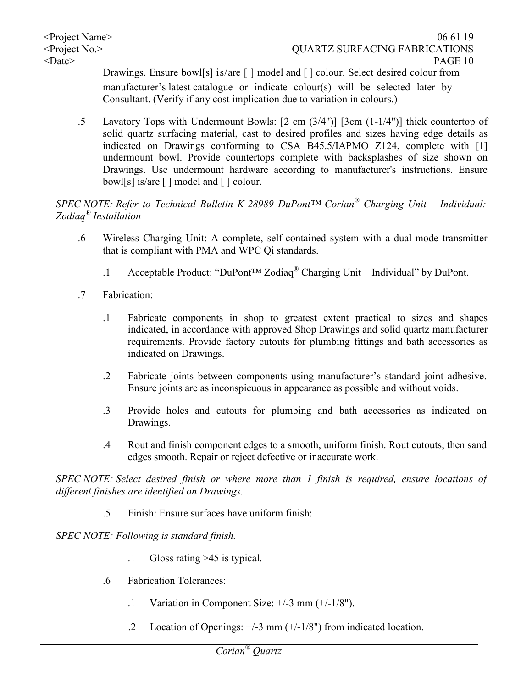manufacturer's latest catalogue or indicate colour(s) will be selected later by Consultant. (Verify if any cost implication due to variation in colours.)

.5 Lavatory Tops with Undermount Bowls: [2 cm (3/4")] [3cm (1-1/4")] thick countertop of solid quartz surfacing material, cast to desired profiles and sizes having edge details as indicated on Drawings conforming to CSA B45.5/IAPMO Z124, complete with [1] undermount bowl. Provide countertops complete with backsplashes of size shown on Drawings. Use undermount hardware according to manufacturer's instructions. Ensure bowl[s] is/are [ ] model and [ ] colour.

*SPEC NOTE: Refer to Technical Bulletin K-28989 DuPont™ Corian ® Charging Unit – Individual: Zodiaq ® Installation*

- .6 Wireless Charging Unit: A complete, self-contained system with a dual-mode transmitter that is compliant with PMA and WPC Qi standards.
	- .1 Acceptable Product: "DuPont™ Zodiaq® Charging Unit Individual" by DuPont.
- .7 Fabrication:
	- .1 Fabricate components in shop to greatest extent practical to sizes and shapes indicated, in accordance with approved Shop Drawings and solid quartz manufacturer requirements. Provide factory cutouts for plumbing fittings and bath accessories as indicated on Drawings.
	- .2 Fabricate joints between components using manufacturer's standard joint adhesive. Ensure joints are as inconspicuous in appearance as possible and without voids.
	- .3 Provide holes and cutouts for plumbing and bath accessories as indicated on Drawings.
	- .4 Rout and finish component edges to a smooth, uniform finish. Rout cutouts, then sand edges smooth. Repair or reject defective or inaccurate work.

*SPEC NOTE: Select desired finish or where more than 1 finish is required, ensure locations of different finishes are identified on Drawings.*

.5 Finish: Ensure surfaces have uniform finish:

*SPEC NOTE: Following is standard finish.*

- .1 Gloss rating >45 is typical.
- .6 Fabrication Tolerances:
	- .1 Variation in Component Size: +/-3 mm (+/-1/8").
	- .2 Location of Openings: +/-3 mm (+/-1/8") from indicated location.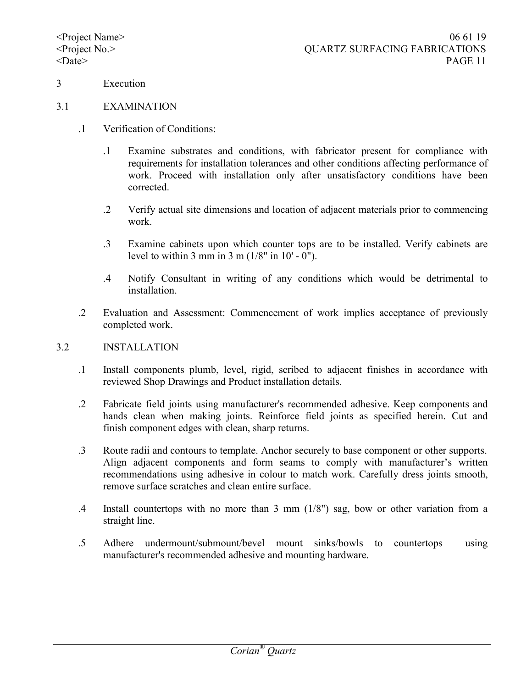- 3 Execution
- 3.1 EXAMINATION
	- .1 Verification of Conditions:
		- .1 Examine substrates and conditions, with fabricator present for compliance with requirements for installation tolerances and other conditions affecting performance of work. Proceed with installation only after unsatisfactory conditions have been corrected.
		- .2 Verify actual site dimensions and location of adjacent materials prior to commencing work.
		- .3 Examine cabinets upon which counter tops are to be installed. Verify cabinets are level to within 3 mm in 3 m  $(1/8"$  in 10' - 0").
		- .4 Notify Consultant in writing of any conditions which would be detrimental to installation.
	- .2 Evaluation and Assessment: Commencement of work implies acceptance of previously completed work.
- 3.2 INSTALLATION
	- .1 Install components plumb, level, rigid, scribed to adjacent finishes in accordance with reviewed Shop Drawings and Product installation details.
	- .2 Fabricate field joints using manufacturer's recommended adhesive. Keep components and hands clean when making joints. Reinforce field joints as specified herein. Cut and finish component edges with clean, sharp returns.
	- .3 Route radii and contours to template. Anchor securely to base component or other supports. Align adjacent components and form seams to comply with manufacturer's written recommendations using adhesive in colour to match work. Carefully dress joints smooth, remove surface scratches and clean entire surface.
	- .4 Install countertops with no more than 3 mm (1/8") sag, bow or other variation from a straight line.
	- .5 Adhere undermount/submount/bevel mount sinks/bowls to countertops using manufacturer's recommended adhesive and mounting hardware.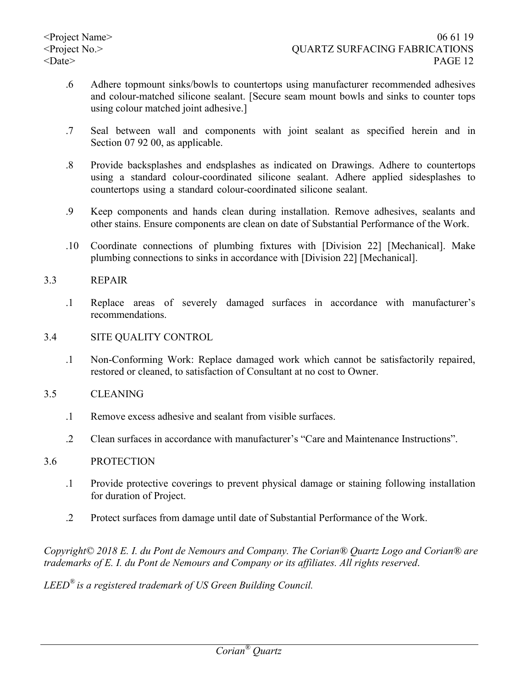- .6 Adhere topmount sinks/bowls to countertops using manufacturer recommended adhesives and colour-matched silicone sealant. [Secure seam mount bowls and sinks to counter tops using colour matched joint adhesive.]
- .7 Seal between wall and components with joint sealant as specified herein and in Section 07 92 00, as applicable.
- .8 Provide backsplashes and endsplashes as indicated on Drawings. Adhere to countertops using a standard colour-coordinated silicone sealant. Adhere applied sidesplashes to countertops using a standard colour-coordinated silicone sealant.
- .9 Keep components and hands clean during installation. Remove adhesives, sealants and other stains. Ensure components are clean on date of Substantial Performance of the Work.
- .10 Coordinate connections of plumbing fixtures with [Division 22] [Mechanical]. Make plumbing connections to sinks in accordance with [Division 22] [Mechanical].

### 3.3 REPAIR

- .1 Replace areas of severely damaged surfaces in accordance with manufacturer's recommendations.
- 3.4 SITE QUALITY CONTROL
	- .1 Non-Conforming Work: Replace damaged work which cannot be satisfactorily repaired, restored or cleaned, to satisfaction of Consultant at no cost to Owner.
- 3.5 CLEANING
	- .1 Remove excess adhesive and sealant from visible surfaces.
	- .2 Clean surfaces in accordance with manufacturer's "Care and Maintenance Instructions".

#### 3.6 PROTECTION

- .1 Provide protective coverings to prevent physical damage or staining following installation for duration of Project.
- .2 Protect surfaces from damage until date of Substantial Performance of the Work.

*Copyright© 2018 E. I. du Pont de Nemours and Company. The Corian® Quartz Logo and Corian® are trademarks of E. I. du Pont de Nemours and Company or its affiliates. All rights reserved*.

*LEED® is a registered trademark of US Green Building Council.*